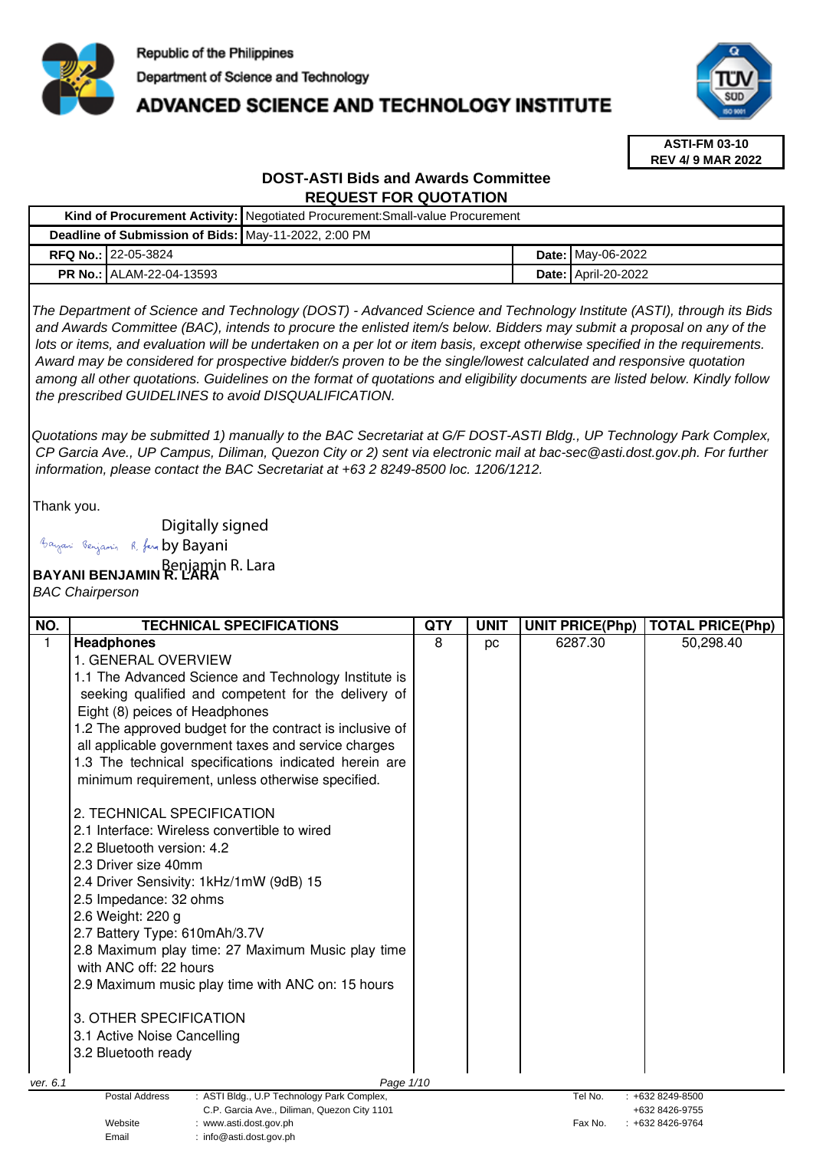

# **ADVANCED SCIENCE AND TECHNOLOGY INSTITUTE**



**ASTI-FM 03-10 REV 4/ 9 MAR 2022**

# **DOST-ASTI Bids and Awards Committee REQUEST FOR QUOTATION**

|                                                      | Kind of Procurement Activity:   Negotiated Procurement: Small-value Procurement |                              |
|------------------------------------------------------|---------------------------------------------------------------------------------|------------------------------|
| Deadline of Submission of Bids: May-11-2022, 2:00 PM |                                                                                 |                              |
| <b>RFQ No.: 22-05-3824</b>                           |                                                                                 | <b>Date: May-06-2022</b>     |
| <b>PR No.: ALAM-22-04-13593</b>                      |                                                                                 | <b>Date:   April-20-2022</b> |

The Department of Science and Technology (DOST) - Advanced Science and Technology Institute (ASTI), through its Bids and Awards Committee (BAC), intends to procure the enlisted item/s below. Bidders may submit a proposal on any of the lots or items, and evaluation will be undertaken on a per lot or item basis, except otherwise specified in the requirements. Award may be considered for prospective bidder/s proven to be the single/lowest calculated and responsive quotation among all other quotations. Guidelines on the format of quotations and eligibility documents are listed below. Kindly follow the prescribed GUIDELINES to avoid DISQUALIFICATION.

Quotations may be submitted 1) manually to the BAC Secretariat at G/F DOST-ASTI Bldg., UP Technology Park Complex, CP Garcia Ave., UP Campus, Diliman, Quezon City or 2) sent via electronic mail at bac-sec@asti.dost.gov.ph. For further information, please contact the BAC Secretariat at +63 2 8249-8500 loc. 1206/1212.

Thank you.

Digitally signed

Bayani Renjamin R. fan by Bayani

**BAYANI BENJAMIN R. LARA**  Benjamin R. Lara

Email : info@asti.dost.gov.ph

BAC Chairperson

| NO.          | <b>TECHNICAL SPECIFICATIONS</b>                                                | <b>QTY</b> | <b>UNIT</b> | <b>UNIT PRICE(Php)</b> | <b>TOTAL PRICE(Php)</b>          |
|--------------|--------------------------------------------------------------------------------|------------|-------------|------------------------|----------------------------------|
| $\mathbf{1}$ | <b>Headphones</b>                                                              | 8          | pc          | 6287.30                | 50,298.40                        |
|              | 1. GENERAL OVERVIEW                                                            |            |             |                        |                                  |
|              | 1.1 The Advanced Science and Technology Institute is                           |            |             |                        |                                  |
|              | seeking qualified and competent for the delivery of                            |            |             |                        |                                  |
|              | Eight (8) peices of Headphones                                                 |            |             |                        |                                  |
|              | 1.2 The approved budget for the contract is inclusive of                       |            |             |                        |                                  |
|              | all applicable government taxes and service charges                            |            |             |                        |                                  |
|              | 1.3 The technical specifications indicated herein are                          |            |             |                        |                                  |
|              | minimum requirement, unless otherwise specified.                               |            |             |                        |                                  |
|              | 2. TECHNICAL SPECIFICATION                                                     |            |             |                        |                                  |
|              | 2.1 Interface: Wireless convertible to wired                                   |            |             |                        |                                  |
|              | 2.2 Bluetooth version: 4.2                                                     |            |             |                        |                                  |
|              | 2.3 Driver size 40mm                                                           |            |             |                        |                                  |
|              | 2.4 Driver Sensivity: 1kHz/1mW (9dB) 15                                        |            |             |                        |                                  |
|              | 2.5 Impedance: 32 ohms                                                         |            |             |                        |                                  |
|              | 2.6 Weight: 220 g                                                              |            |             |                        |                                  |
|              | 2.7 Battery Type: 610mAh/3.7V                                                  |            |             |                        |                                  |
|              | 2.8 Maximum play time: 27 Maximum Music play time                              |            |             |                        |                                  |
|              | with ANC off: 22 hours                                                         |            |             |                        |                                  |
|              | 2.9 Maximum music play time with ANC on: 15 hours                              |            |             |                        |                                  |
|              | 3. OTHER SPECIFICATION                                                         |            |             |                        |                                  |
|              | 3.1 Active Noise Cancelling                                                    |            |             |                        |                                  |
|              | 3.2 Bluetooth ready                                                            |            |             |                        |                                  |
| ver. 6.1     | Page 1/10                                                                      |            |             |                        |                                  |
|              | : ASTI Bldg., U.P Technology Park Complex,<br>Postal Address                   |            |             | Tel No.                | +632 8249-8500                   |
|              | C.P. Garcia Ave., Diliman, Quezon City 1101<br>Website<br>www.asti.dost.gov.ph |            |             | Fax No.                | +632 8426-9755<br>+632 8426-9764 |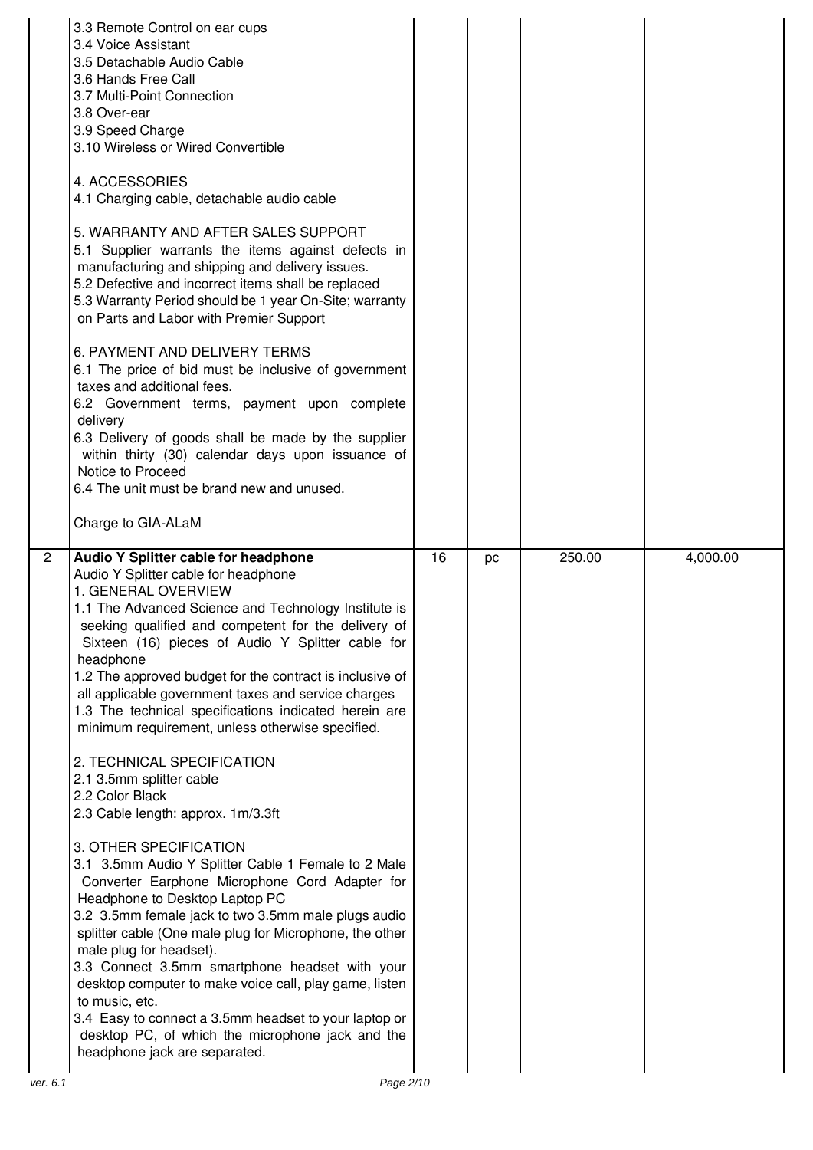|                            | 3.3 Remote Control on ear cups<br>3.4 Voice Assistant<br>3.5 Detachable Audio Cable<br>3.6 Hands Free Call<br>3.7 Multi-Point Connection<br>3.8 Over-ear<br>3.9 Speed Charge<br>3.10 Wireless or Wired Convertible<br>4. ACCESSORIES<br>4.1 Charging cable, detachable audio cable<br>5. WARRANTY AND AFTER SALES SUPPORT<br>5.1 Supplier warrants the items against defects in<br>manufacturing and shipping and delivery issues.<br>5.2 Defective and incorrect items shall be replaced<br>5.3 Warranty Period should be 1 year On-Site; warranty<br>on Parts and Labor with Premier Support<br>6. PAYMENT AND DELIVERY TERMS<br>6.1 The price of bid must be inclusive of government<br>taxes and additional fees.<br>6.2 Government terms, payment upon complete<br>delivery<br>6.3 Delivery of goods shall be made by the supplier<br>within thirty (30) calendar days upon issuance of<br>Notice to Proceed<br>6.4 The unit must be brand new and unused.<br>Charge to GIA-ALaM                                                                                                                                                                                                                                                              |    |    |        |          |
|----------------------------|----------------------------------------------------------------------------------------------------------------------------------------------------------------------------------------------------------------------------------------------------------------------------------------------------------------------------------------------------------------------------------------------------------------------------------------------------------------------------------------------------------------------------------------------------------------------------------------------------------------------------------------------------------------------------------------------------------------------------------------------------------------------------------------------------------------------------------------------------------------------------------------------------------------------------------------------------------------------------------------------------------------------------------------------------------------------------------------------------------------------------------------------------------------------------------------------------------------------------------------------------|----|----|--------|----------|
| $\overline{2}$<br>ver. 6.1 | Audio Y Splitter cable for headphone<br>Audio Y Splitter cable for headphone<br>1. GENERAL OVERVIEW<br>1.1 The Advanced Science and Technology Institute is<br>seeking qualified and competent for the delivery of<br>Sixteen (16) pieces of Audio Y Splitter cable for<br>headphone<br>1.2 The approved budget for the contract is inclusive of<br>all applicable government taxes and service charges<br>1.3 The technical specifications indicated herein are<br>minimum requirement, unless otherwise specified.<br>2. TECHNICAL SPECIFICATION<br>2.1 3.5mm splitter cable<br>2.2 Color Black<br>2.3 Cable length: approx. 1m/3.3ft<br>3. OTHER SPECIFICATION<br>3.1 3.5mm Audio Y Splitter Cable 1 Female to 2 Male<br>Converter Earphone Microphone Cord Adapter for<br>Headphone to Desktop Laptop PC<br>3.2 3.5mm female jack to two 3.5mm male plugs audio<br>splitter cable (One male plug for Microphone, the other<br>male plug for headset).<br>3.3 Connect 3.5mm smartphone headset with your<br>desktop computer to make voice call, play game, listen<br>to music, etc.<br>3.4 Easy to connect a 3.5mm headset to your laptop or<br>desktop PC, of which the microphone jack and the<br>headphone jack are separated.<br>Page 2/10 | 16 | pc | 250.00 | 4,000.00 |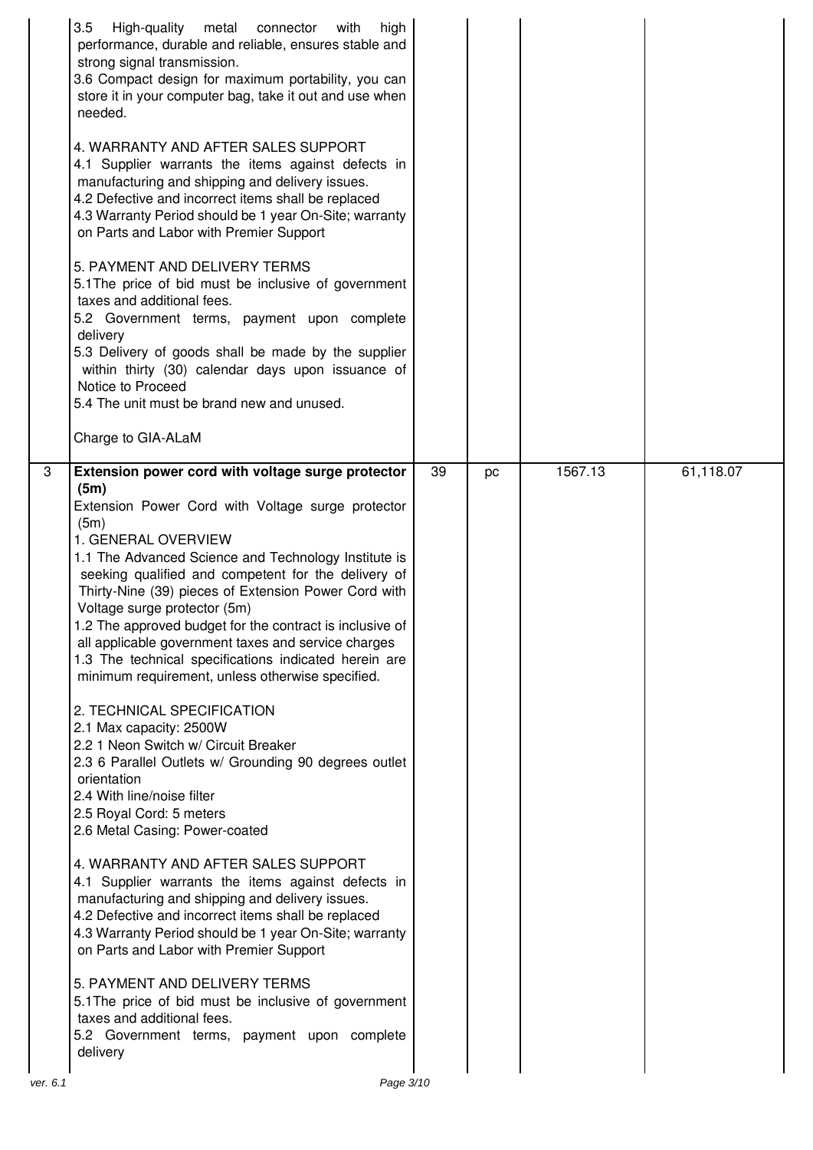|          | 3.5<br>High-quality<br>metal connector<br>high<br>with<br>performance, durable and reliable, ensures stable and<br>strong signal transmission.<br>3.6 Compact design for maximum portability, you can<br>store it in your computer bag, take it out and use when<br>needed.<br>4. WARRANTY AND AFTER SALES SUPPORT<br>4.1 Supplier warrants the items against defects in<br>manufacturing and shipping and delivery issues.<br>4.2 Defective and incorrect items shall be replaced<br>4.3 Warranty Period should be 1 year On-Site; warranty<br>on Parts and Labor with Premier Support<br>5. PAYMENT AND DELIVERY TERMS<br>5.1 The price of bid must be inclusive of government<br>taxes and additional fees.<br>5.2 Government terms, payment upon complete<br>delivery<br>5.3 Delivery of goods shall be made by the supplier<br>within thirty (30) calendar days upon issuance of<br>Notice to Proceed<br>5.4 The unit must be brand new and unused.<br>Charge to GIA-ALaM                                                                                                                                                                                                                                                                                                                                                                          |    |    |         |           |
|----------|---------------------------------------------------------------------------------------------------------------------------------------------------------------------------------------------------------------------------------------------------------------------------------------------------------------------------------------------------------------------------------------------------------------------------------------------------------------------------------------------------------------------------------------------------------------------------------------------------------------------------------------------------------------------------------------------------------------------------------------------------------------------------------------------------------------------------------------------------------------------------------------------------------------------------------------------------------------------------------------------------------------------------------------------------------------------------------------------------------------------------------------------------------------------------------------------------------------------------------------------------------------------------------------------------------------------------------------------------------|----|----|---------|-----------|
| 3        | Extension power cord with voltage surge protector<br>(5m)<br>Extension Power Cord with Voltage surge protector<br>(5m)<br>1. GENERAL OVERVIEW<br>1.1 The Advanced Science and Technology Institute is<br>seeking qualified and competent for the delivery of<br>Thirty-Nine (39) pieces of Extension Power Cord with<br>Voltage surge protector (5m)<br>1.2 The approved budget for the contract is inclusive of<br>all applicable government taxes and service charges<br>1.3 The technical specifications indicated herein are<br>minimum requirement, unless otherwise specified.<br>2. TECHNICAL SPECIFICATION<br>2.1 Max capacity: 2500W<br>2.2 1 Neon Switch w/ Circuit Breaker<br>2.3 6 Parallel Outlets w/ Grounding 90 degrees outlet<br>orientation<br>2.4 With line/noise filter<br>2.5 Royal Cord: 5 meters<br>2.6 Metal Casing: Power-coated<br>4. WARRANTY AND AFTER SALES SUPPORT<br>4.1 Supplier warrants the items against defects in<br>manufacturing and shipping and delivery issues.<br>4.2 Defective and incorrect items shall be replaced<br>4.3 Warranty Period should be 1 year On-Site; warranty<br>on Parts and Labor with Premier Support<br>5. PAYMENT AND DELIVERY TERMS<br>5.1 The price of bid must be inclusive of government<br>taxes and additional fees.<br>5.2 Government terms, payment upon complete<br>delivery | 39 | pc | 1567.13 | 61,118.07 |
| ver. 6.1 | Page 3/10                                                                                                                                                                                                                                                                                                                                                                                                                                                                                                                                                                                                                                                                                                                                                                                                                                                                                                                                                                                                                                                                                                                                                                                                                                                                                                                                               |    |    |         |           |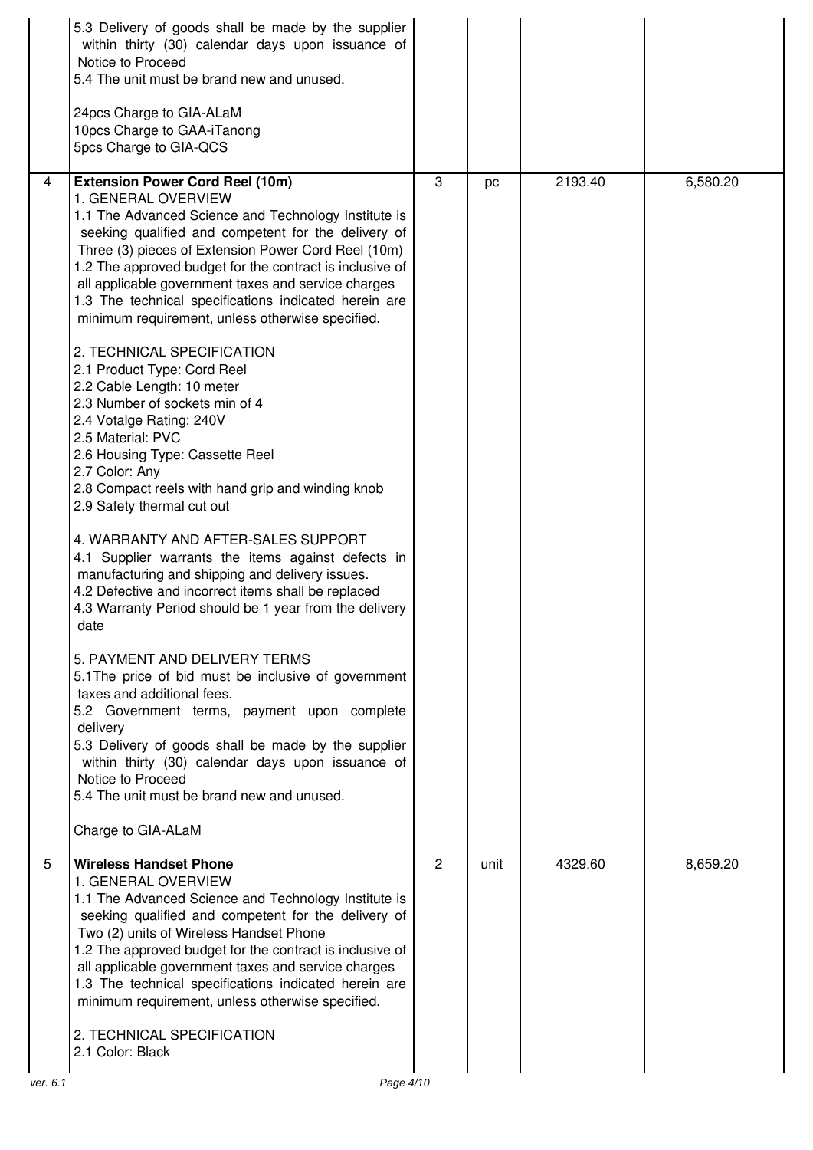|          | 5.3 Delivery of goods shall be made by the supplier<br>within thirty (30) calendar days upon issuance of<br>Notice to Proceed<br>5.4 The unit must be brand new and unused.<br>24pcs Charge to GIA-ALaM<br>10pcs Charge to GAA-iTanong<br>5pcs Charge to GIA-QCS                                                                                                                                                                                                                                                                                                                                                                                                                                                                                                                                                                                                                                                                                                                                                                                                                                                                                                                                                                                                                                                                                                                                                                                          |   |      |         |          |
|----------|-----------------------------------------------------------------------------------------------------------------------------------------------------------------------------------------------------------------------------------------------------------------------------------------------------------------------------------------------------------------------------------------------------------------------------------------------------------------------------------------------------------------------------------------------------------------------------------------------------------------------------------------------------------------------------------------------------------------------------------------------------------------------------------------------------------------------------------------------------------------------------------------------------------------------------------------------------------------------------------------------------------------------------------------------------------------------------------------------------------------------------------------------------------------------------------------------------------------------------------------------------------------------------------------------------------------------------------------------------------------------------------------------------------------------------------------------------------|---|------|---------|----------|
| 4        | <b>Extension Power Cord Reel (10m)</b><br>1. GENERAL OVERVIEW<br>1.1 The Advanced Science and Technology Institute is<br>seeking qualified and competent for the delivery of<br>Three (3) pieces of Extension Power Cord Reel (10m)<br>1.2 The approved budget for the contract is inclusive of<br>all applicable government taxes and service charges<br>1.3 The technical specifications indicated herein are<br>minimum requirement, unless otherwise specified.<br>2. TECHNICAL SPECIFICATION<br>2.1 Product Type: Cord Reel<br>2.2 Cable Length: 10 meter<br>2.3 Number of sockets min of 4<br>2.4 Votalge Rating: 240V<br>2.5 Material: PVC<br>2.6 Housing Type: Cassette Reel<br>2.7 Color: Any<br>2.8 Compact reels with hand grip and winding knob<br>2.9 Safety thermal cut out<br>4. WARRANTY AND AFTER-SALES SUPPORT<br>4.1 Supplier warrants the items against defects in<br>manufacturing and shipping and delivery issues.<br>4.2 Defective and incorrect items shall be replaced<br>4.3 Warranty Period should be 1 year from the delivery<br>date<br>5. PAYMENT AND DELIVERY TERMS<br>5.1 The price of bid must be inclusive of government<br>taxes and additional fees.<br>5.2 Government terms, payment upon complete<br>delivery<br>5.3 Delivery of goods shall be made by the supplier<br>within thirty (30) calendar days upon issuance of<br>Notice to Proceed<br>5.4 The unit must be brand new and unused.<br>Charge to GIA-ALaM | 3 | pc   | 2193.40 | 6,580.20 |
| 5        | <b>Wireless Handset Phone</b><br>1. GENERAL OVERVIEW<br>1.1 The Advanced Science and Technology Institute is<br>seeking qualified and competent for the delivery of<br>Two (2) units of Wireless Handset Phone<br>1.2 The approved budget for the contract is inclusive of<br>all applicable government taxes and service charges<br>1.3 The technical specifications indicated herein are<br>minimum requirement, unless otherwise specified.<br>2. TECHNICAL SPECIFICATION<br>2.1 Color: Black                                                                                                                                                                                                                                                                                                                                                                                                                                                                                                                                                                                                                                                                                                                                                                                                                                                                                                                                                          | 2 | unit | 4329.60 | 8,659.20 |
| ver. 6.1 | Page 4/10                                                                                                                                                                                                                                                                                                                                                                                                                                                                                                                                                                                                                                                                                                                                                                                                                                                                                                                                                                                                                                                                                                                                                                                                                                                                                                                                                                                                                                                 |   |      |         |          |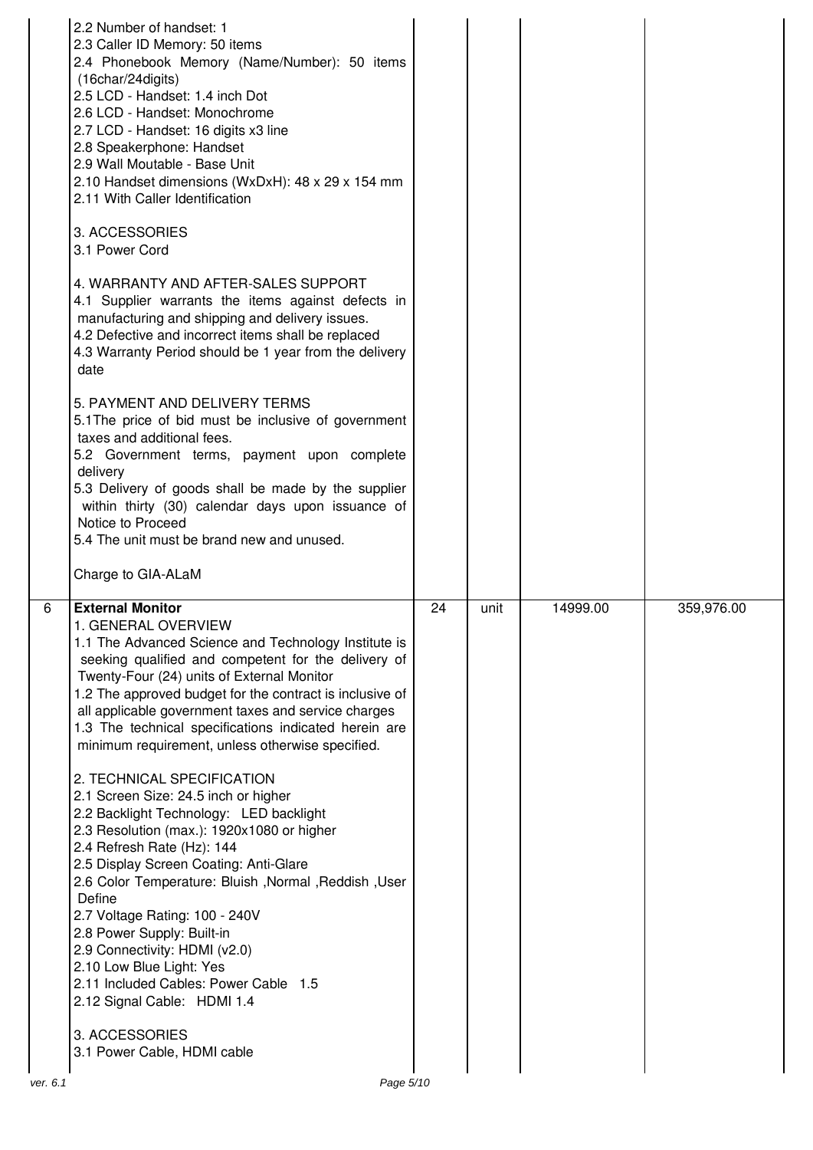|          | 2.2 Number of handset: 1<br>2.3 Caller ID Memory: 50 items<br>2.4 Phonebook Memory (Name/Number): 50 items<br>(16char/24digits)<br>2.5 LCD - Handset: 1.4 inch Dot<br>2.6 LCD - Handset: Monochrome<br>2.7 LCD - Handset: 16 digits x3 line<br>2.8 Speakerphone: Handset<br>2.9 Wall Moutable - Base Unit<br>2.10 Handset dimensions (WxDxH): 48 x 29 x 154 mm<br>2.11 With Caller Identification<br>3. ACCESSORIES<br>3.1 Power Cord<br>4. WARRANTY AND AFTER-SALES SUPPORT<br>4.1 Supplier warrants the items against defects in<br>manufacturing and shipping and delivery issues.<br>4.2 Defective and incorrect items shall be replaced<br>4.3 Warranty Period should be 1 year from the delivery<br>date<br>5. PAYMENT AND DELIVERY TERMS<br>5.1 The price of bid must be inclusive of government<br>taxes and additional fees.<br>5.2 Government terms, payment upon complete<br>delivery<br>5.3 Delivery of goods shall be made by the supplier<br>within thirty (30) calendar days upon issuance of<br>Notice to Proceed<br>5.4 The unit must be brand new and unused.<br>Charge to GIA-ALaM |    |      |          |            |
|----------|-------------------------------------------------------------------------------------------------------------------------------------------------------------------------------------------------------------------------------------------------------------------------------------------------------------------------------------------------------------------------------------------------------------------------------------------------------------------------------------------------------------------------------------------------------------------------------------------------------------------------------------------------------------------------------------------------------------------------------------------------------------------------------------------------------------------------------------------------------------------------------------------------------------------------------------------------------------------------------------------------------------------------------------------------------------------------------------------------------|----|------|----------|------------|
| 6        | <b>External Monitor</b><br>1. GENERAL OVERVIEW<br>1.1 The Advanced Science and Technology Institute is<br>seeking qualified and competent for the delivery of<br>Twenty-Four (24) units of External Monitor<br>1.2 The approved budget for the contract is inclusive of<br>all applicable government taxes and service charges<br>1.3 The technical specifications indicated herein are<br>minimum requirement, unless otherwise specified.<br>2. TECHNICAL SPECIFICATION<br>2.1 Screen Size: 24.5 inch or higher<br>2.2 Backlight Technology: LED backlight<br>2.3 Resolution (max.): 1920x1080 or higher<br>2.4 Refresh Rate (Hz): 144<br>2.5 Display Screen Coating: Anti-Glare<br>2.6 Color Temperature: Bluish , Normal , Reddish , User<br>Define<br>2.7 Voltage Rating: 100 - 240V<br>2.8 Power Supply: Built-in<br>2.9 Connectivity: HDMI (v2.0)<br>2.10 Low Blue Light: Yes<br>2.11 Included Cables: Power Cable 1.5<br>2.12 Signal Cable: HDMI 1.4<br>3. ACCESSORIES<br>3.1 Power Cable, HDMI cable                                                                                         | 24 | unit | 14999.00 | 359,976.00 |
| ver. 6.1 | Page 5/10                                                                                                                                                                                                                                                                                                                                                                                                                                                                                                                                                                                                                                                                                                                                                                                                                                                                                                                                                                                                                                                                                             |    |      |          |            |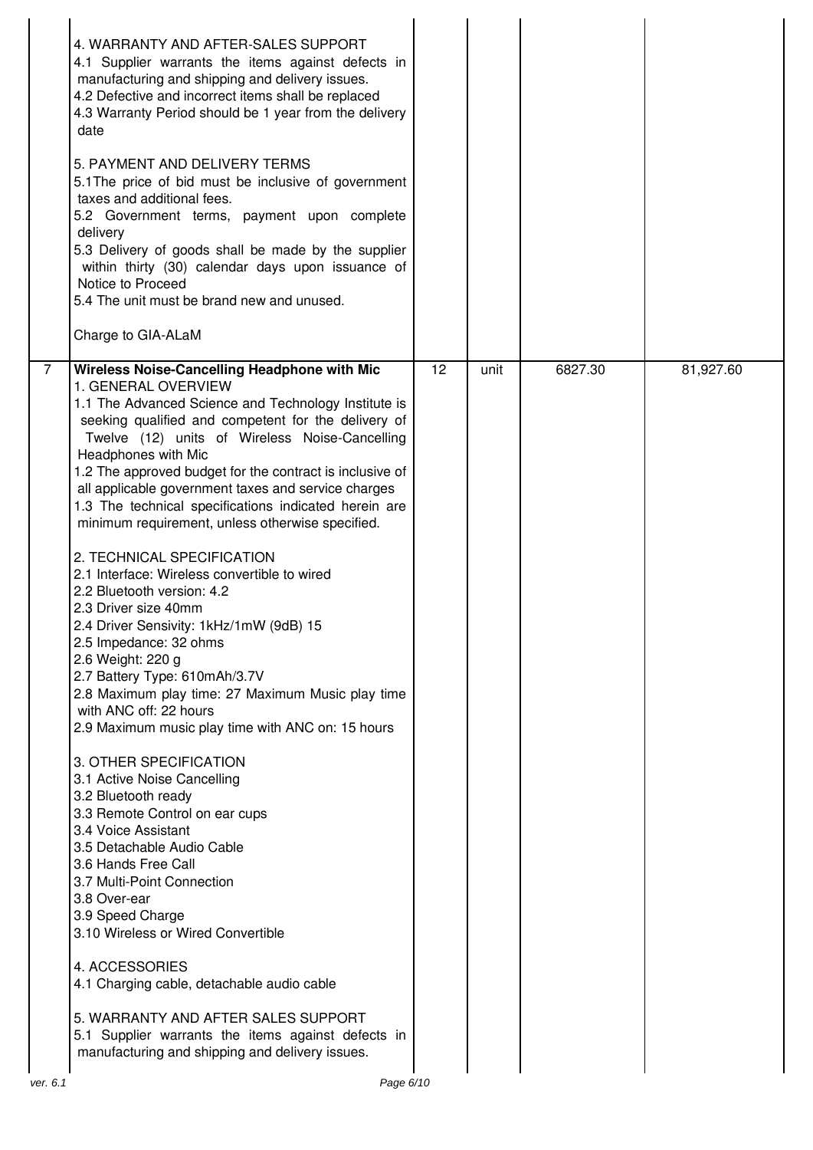| 4. WARRANTY AND AFTER-SALES SUPPORT<br>4.1 Supplier warrants the items against defects in<br>manufacturing and shipping and delivery issues.<br>4.2 Defective and incorrect items shall be replaced<br>4.3 Warranty Period should be 1 year from the delivery<br>date<br>5. PAYMENT AND DELIVERY TERMS<br>5.1 The price of bid must be inclusive of government<br>taxes and additional fees.<br>5.2 Government terms, payment upon complete<br>delivery<br>5.3 Delivery of goods shall be made by the supplier<br>within thirty (30) calendar days upon issuance of<br>Notice to Proceed<br>5.4 The unit must be brand new and unused.<br>Charge to GIA-ALaM<br>12<br>6827.30<br>81,927.60<br>$\overline{7}$<br><b>Wireless Noise-Cancelling Headphone with Mic</b><br>unit<br>1. GENERAL OVERVIEW<br>1.1 The Advanced Science and Technology Institute is<br>seeking qualified and competent for the delivery of<br>Twelve (12) units of Wireless Noise-Cancelling<br>Headphones with Mic<br>1.2 The approved budget for the contract is inclusive of<br>all applicable government taxes and service charges<br>1.3 The technical specifications indicated herein are<br>minimum requirement, unless otherwise specified.<br>2. TECHNICAL SPECIFICATION<br>2.1 Interface: Wireless convertible to wired<br>2.2 Bluetooth version: 4.2<br>2.3 Driver size 40mm<br>2.4 Driver Sensivity: 1kHz/1mW (9dB) 15<br>2.5 Impedance: 32 ohms<br>2.6 Weight: 220 g<br>2.7 Battery Type: 610mAh/3.7V<br>2.8 Maximum play time: 27 Maximum Music play time<br>with ANC off: 22 hours<br>2.9 Maximum music play time with ANC on: 15 hours<br>3. OTHER SPECIFICATION<br>3.1 Active Noise Cancelling<br>3.2 Bluetooth ready<br>3.3 Remote Control on ear cups<br>3.4 Voice Assistant<br>3.5 Detachable Audio Cable<br>3.6 Hands Free Call<br>3.7 Multi-Point Connection<br>3.8 Over-ear<br>3.9 Speed Charge<br>3.10 Wireless or Wired Convertible<br>4. ACCESSORIES<br>4.1 Charging cable, detachable audio cable<br>5. WARRANTY AND AFTER SALES SUPPORT<br>5.1 Supplier warrants the items against defects in<br>manufacturing and shipping and delivery issues. |  |  |  |
|-----------------------------------------------------------------------------------------------------------------------------------------------------------------------------------------------------------------------------------------------------------------------------------------------------------------------------------------------------------------------------------------------------------------------------------------------------------------------------------------------------------------------------------------------------------------------------------------------------------------------------------------------------------------------------------------------------------------------------------------------------------------------------------------------------------------------------------------------------------------------------------------------------------------------------------------------------------------------------------------------------------------------------------------------------------------------------------------------------------------------------------------------------------------------------------------------------------------------------------------------------------------------------------------------------------------------------------------------------------------------------------------------------------------------------------------------------------------------------------------------------------------------------------------------------------------------------------------------------------------------------------------------------------------------------------------------------------------------------------------------------------------------------------------------------------------------------------------------------------------------------------------------------------------------------------------------------------------------------------------------------------------------------------------------------------------------------------------------------------------------------------------------------|--|--|--|
|                                                                                                                                                                                                                                                                                                                                                                                                                                                                                                                                                                                                                                                                                                                                                                                                                                                                                                                                                                                                                                                                                                                                                                                                                                                                                                                                                                                                                                                                                                                                                                                                                                                                                                                                                                                                                                                                                                                                                                                                                                                                                                                                                     |  |  |  |
|                                                                                                                                                                                                                                                                                                                                                                                                                                                                                                                                                                                                                                                                                                                                                                                                                                                                                                                                                                                                                                                                                                                                                                                                                                                                                                                                                                                                                                                                                                                                                                                                                                                                                                                                                                                                                                                                                                                                                                                                                                                                                                                                                     |  |  |  |
|                                                                                                                                                                                                                                                                                                                                                                                                                                                                                                                                                                                                                                                                                                                                                                                                                                                                                                                                                                                                                                                                                                                                                                                                                                                                                                                                                                                                                                                                                                                                                                                                                                                                                                                                                                                                                                                                                                                                                                                                                                                                                                                                                     |  |  |  |
| Page 6/10<br>ver. 6.1                                                                                                                                                                                                                                                                                                                                                                                                                                                                                                                                                                                                                                                                                                                                                                                                                                                                                                                                                                                                                                                                                                                                                                                                                                                                                                                                                                                                                                                                                                                                                                                                                                                                                                                                                                                                                                                                                                                                                                                                                                                                                                                               |  |  |  |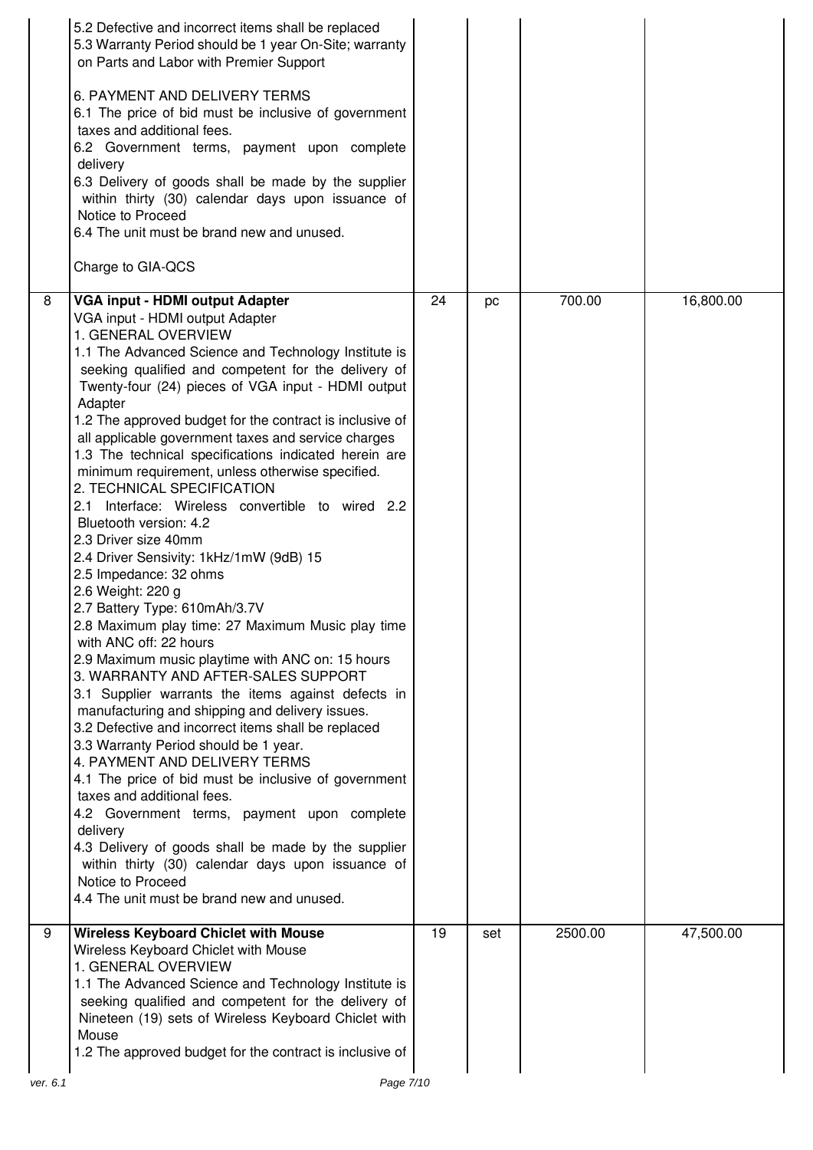|          | 5.2 Defective and incorrect items shall be replaced<br>5.3 Warranty Period should be 1 year On-Site; warranty<br>on Parts and Labor with Premier Support<br>6. PAYMENT AND DELIVERY TERMS<br>6.1 The price of bid must be inclusive of government<br>taxes and additional fees.<br>6.2 Government terms, payment upon complete<br>delivery<br>6.3 Delivery of goods shall be made by the supplier<br>within thirty (30) calendar days upon issuance of<br>Notice to Proceed<br>6.4 The unit must be brand new and unused.<br>Charge to GIA-QCS                                                                                                                                                                                                                                                                                                                                                                                                                                                                                                                                                                                                                                                                                                                                                                                                                                                                                                                                            |    |     |         |           |
|----------|-------------------------------------------------------------------------------------------------------------------------------------------------------------------------------------------------------------------------------------------------------------------------------------------------------------------------------------------------------------------------------------------------------------------------------------------------------------------------------------------------------------------------------------------------------------------------------------------------------------------------------------------------------------------------------------------------------------------------------------------------------------------------------------------------------------------------------------------------------------------------------------------------------------------------------------------------------------------------------------------------------------------------------------------------------------------------------------------------------------------------------------------------------------------------------------------------------------------------------------------------------------------------------------------------------------------------------------------------------------------------------------------------------------------------------------------------------------------------------------------|----|-----|---------|-----------|
| 8        | VGA input - HDMI output Adapter                                                                                                                                                                                                                                                                                                                                                                                                                                                                                                                                                                                                                                                                                                                                                                                                                                                                                                                                                                                                                                                                                                                                                                                                                                                                                                                                                                                                                                                           | 24 | pc  | 700.00  | 16,800.00 |
|          | VGA input - HDMI output Adapter<br>1. GENERAL OVERVIEW<br>1.1 The Advanced Science and Technology Institute is<br>seeking qualified and competent for the delivery of<br>Twenty-four (24) pieces of VGA input - HDMI output<br>Adapter<br>1.2 The approved budget for the contract is inclusive of<br>all applicable government taxes and service charges<br>1.3 The technical specifications indicated herein are<br>minimum requirement, unless otherwise specified.<br>2. TECHNICAL SPECIFICATION<br>2.1 Interface: Wireless convertible to wired 2.2<br>Bluetooth version: 4.2<br>2.3 Driver size 40mm<br>2.4 Driver Sensivity: 1kHz/1mW (9dB) 15<br>2.5 Impedance: 32 ohms<br>2.6 Weight: 220 g<br>2.7 Battery Type: 610mAh/3.7V<br>2.8 Maximum play time: 27 Maximum Music play time<br>with ANC off: 22 hours<br>2.9 Maximum music playtime with ANC on: 15 hours<br>3. WARRANTY AND AFTER-SALES SUPPORT<br>3.1 Supplier warrants the items against defects in<br>manufacturing and shipping and delivery issues.<br>3.2 Defective and incorrect items shall be replaced<br>3.3 Warranty Period should be 1 year.<br>4. PAYMENT AND DELIVERY TERMS<br>4.1 The price of bid must be inclusive of government<br>taxes and additional fees.<br>4.2 Government terms, payment upon complete<br>delivery<br>4.3 Delivery of goods shall be made by the supplier<br>within thirty (30) calendar days upon issuance of<br>Notice to Proceed<br>4.4 The unit must be brand new and unused. |    |     |         |           |
| 9        | <b>Wireless Keyboard Chiclet with Mouse</b><br>Wireless Keyboard Chiclet with Mouse<br>1. GENERAL OVERVIEW<br>1.1 The Advanced Science and Technology Institute is<br>seeking qualified and competent for the delivery of<br>Nineteen (19) sets of Wireless Keyboard Chiclet with<br>Mouse<br>1.2 The approved budget for the contract is inclusive of                                                                                                                                                                                                                                                                                                                                                                                                                                                                                                                                                                                                                                                                                                                                                                                                                                                                                                                                                                                                                                                                                                                                    | 19 | set | 2500.00 | 47,500.00 |
| ver. 6.1 | Page 7/10                                                                                                                                                                                                                                                                                                                                                                                                                                                                                                                                                                                                                                                                                                                                                                                                                                                                                                                                                                                                                                                                                                                                                                                                                                                                                                                                                                                                                                                                                 |    |     |         |           |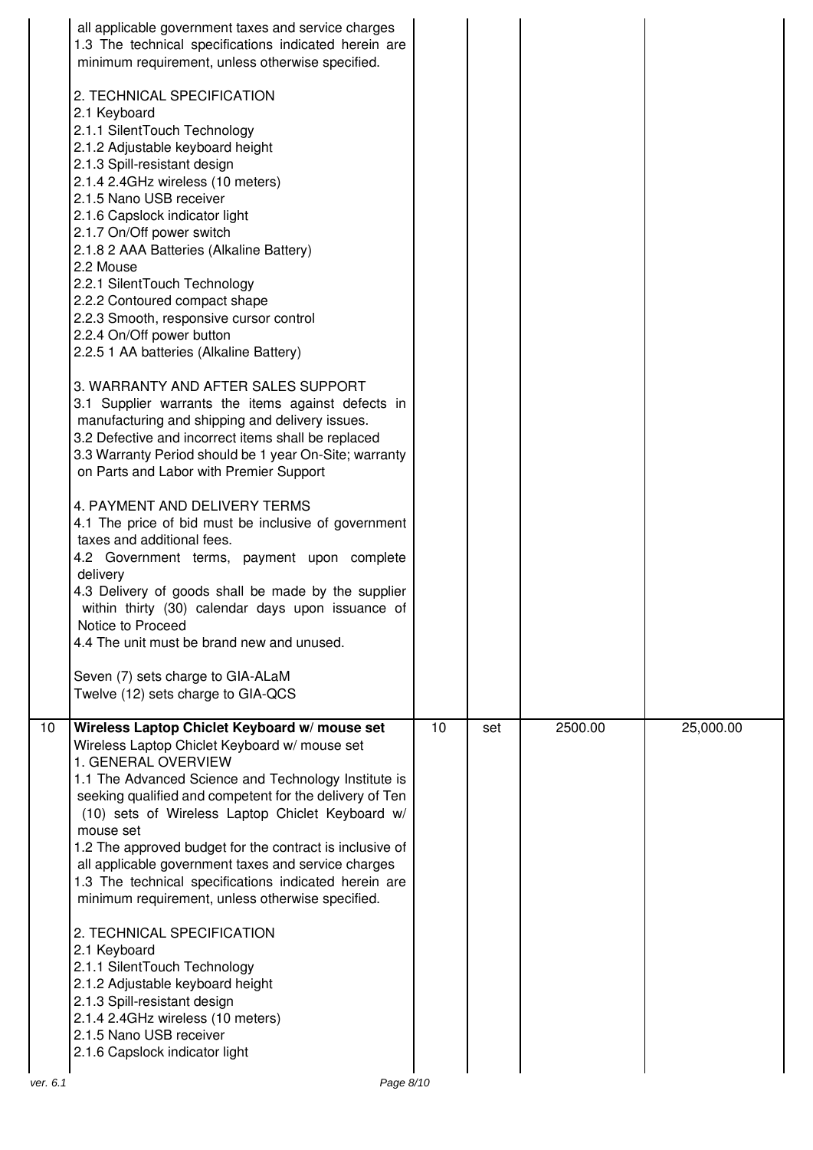| all applicable government taxes and service charges<br>1.3 The technical specifications indicated herein are<br>minimum requirement, unless otherwise specified.<br>2. TECHNICAL SPECIFICATION<br>2.1 Keyboard<br>2.1.1 SilentTouch Technology<br>2.1.2 Adjustable keyboard height<br>2.1.3 Spill-resistant design<br>2.1.4 2.4GHz wireless (10 meters)<br>2.1.5 Nano USB receiver<br>2.1.6 Capslock indicator light<br>2.1.7 On/Off power switch<br>2.1.8 2 AAA Batteries (Alkaline Battery)<br>2.2 Mouse<br>2.2.1 SilentTouch Technology<br>2.2.2 Contoured compact shape<br>2.2.3 Smooth, responsive cursor control<br>2.2.4 On/Off power button<br>2.2.5 1 AA batteries (Alkaline Battery)<br>3. WARRANTY AND AFTER SALES SUPPORT<br>3.1 Supplier warrants the items against defects in<br>manufacturing and shipping and delivery issues.<br>3.2 Defective and incorrect items shall be replaced<br>3.3 Warranty Period should be 1 year On-Site; warranty<br>on Parts and Labor with Premier Support<br>4. PAYMENT AND DELIVERY TERMS<br>4.1 The price of bid must be inclusive of government<br>taxes and additional fees.<br>4.2 Government terms, payment upon complete<br>delivery<br>4.3 Delivery of goods shall be made by the supplier<br>within thirty (30) calendar days upon issuance of<br>Notice to Proceed<br>4.4 The unit must be brand new and unused.<br>Seven (7) sets charge to GIA-ALaM<br>Twelve (12) sets charge to GIA-QCS |    |     |         |           |
|--------------------------------------------------------------------------------------------------------------------------------------------------------------------------------------------------------------------------------------------------------------------------------------------------------------------------------------------------------------------------------------------------------------------------------------------------------------------------------------------------------------------------------------------------------------------------------------------------------------------------------------------------------------------------------------------------------------------------------------------------------------------------------------------------------------------------------------------------------------------------------------------------------------------------------------------------------------------------------------------------------------------------------------------------------------------------------------------------------------------------------------------------------------------------------------------------------------------------------------------------------------------------------------------------------------------------------------------------------------------------------------------------------------------------------------------------------|----|-----|---------|-----------|
| Wireless Laptop Chiclet Keyboard w/mouse set                                                                                                                                                                                                                                                                                                                                                                                                                                                                                                                                                                                                                                                                                                                                                                                                                                                                                                                                                                                                                                                                                                                                                                                                                                                                                                                                                                                                           | 10 | set | 2500.00 | 25,000.00 |
| Wireless Laptop Chiclet Keyboard w/ mouse set<br>1. GENERAL OVERVIEW<br>1.1 The Advanced Science and Technology Institute is<br>seeking qualified and competent for the delivery of Ten<br>(10) sets of Wireless Laptop Chiclet Keyboard w/<br>mouse set<br>1.2 The approved budget for the contract is inclusive of<br>all applicable government taxes and service charges<br>1.3 The technical specifications indicated herein are<br>minimum requirement, unless otherwise specified.<br>2. TECHNICAL SPECIFICATION<br>2.1 Keyboard<br>2.1.1 SilentTouch Technology<br>2.1.2 Adjustable keyboard height<br>2.1.3 Spill-resistant design<br>2.1.4 2.4GHz wireless (10 meters)<br>2.1.5 Nano USB receiver<br>2.1.6 Capslock indicator light                                                                                                                                                                                                                                                                                                                                                                                                                                                                                                                                                                                                                                                                                                           |    |     |         |           |
|                                                                                                                                                                                                                                                                                                                                                                                                                                                                                                                                                                                                                                                                                                                                                                                                                                                                                                                                                                                                                                                                                                                                                                                                                                                                                                                                                                                                                                                        |    |     |         |           |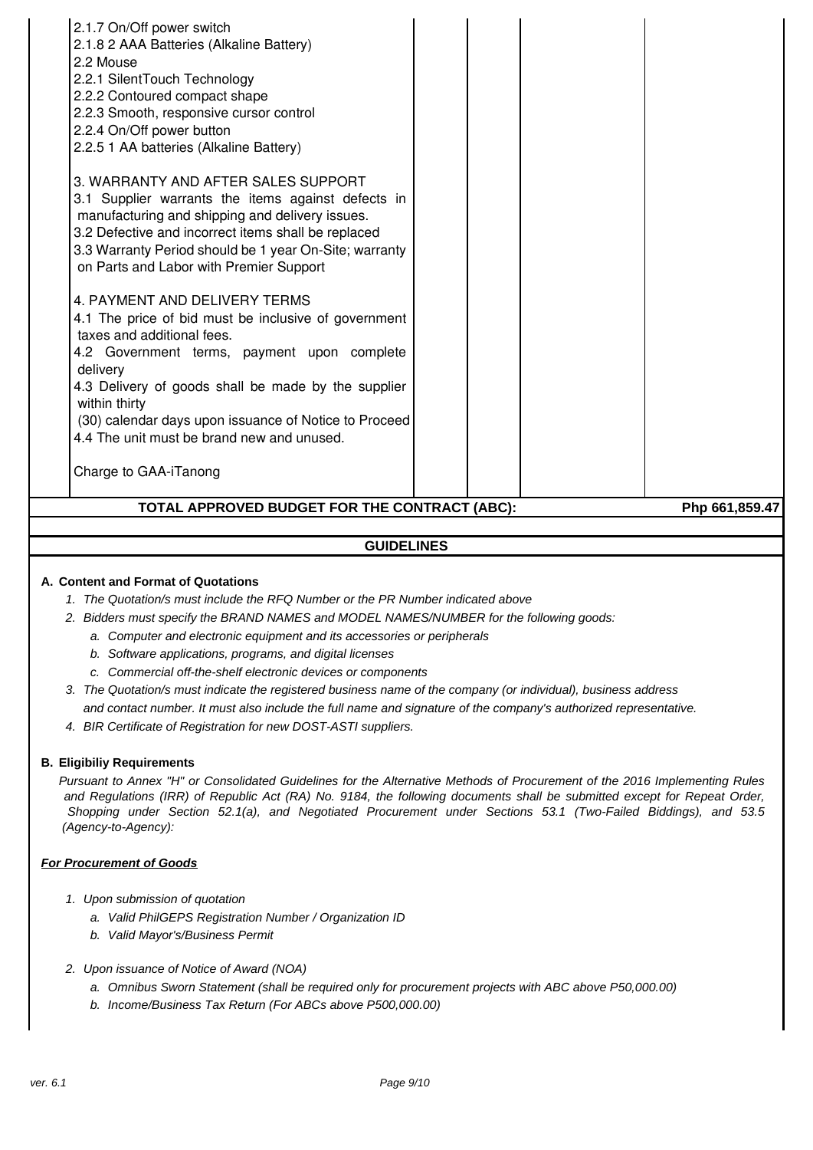| 4. PAYMENT AND DELIVERY TERMS<br>4.1 The price of bid must be inclusive of government<br>taxes and additional fees. |  |  |  |
|---------------------------------------------------------------------------------------------------------------------|--|--|--|
| 4.2 Government terms, payment upon complete                                                                         |  |  |  |
| delivery                                                                                                            |  |  |  |
| 4.3 Delivery of goods shall be made by the supplier                                                                 |  |  |  |
| within thirty<br>(30) calendar days upon issuance of Notice to Proceed                                              |  |  |  |
| 4.4 The unit must be brand new and unused.                                                                          |  |  |  |
| Charge to GAA-iTanong                                                                                               |  |  |  |
|                                                                                                                     |  |  |  |

# **GUIDELINES**

#### **A. Content and Format of Quotations**

- 1. The Quotation/s must include the RFQ Number or the PR Number indicated above
- 2. Bidders must specify the BRAND NAMES and MODEL NAMES/NUMBER for the following goods:
	- a. Computer and electronic equipment and its accessories or peripherals
	- b. Software applications, programs, and digital licenses
	- c. Commercial off-the-shelf electronic devices or components
- 3. The Quotation/s must indicate the registered business name of the company (or individual), business address and contact number. It must also include the full name and signature of the company's authorized representative.
- 4. BIR Certificate of Registration for new DOST-ASTI suppliers.

#### **B. Eligibiliy Requirements**

Pursuant to Annex "H" or Consolidated Guidelines for the Alternative Methods of Procurement of the 2016 Implementing Rules and Regulations (IRR) of Republic Act (RA) No. 9184, the following documents shall be submitted except for Repeat Order, Shopping under Section 52.1(a), and Negotiated Procurement under Sections 53.1 (Two-Failed Biddings), and 53.5 (Agency-to-Agency):

#### **For Procurement of Goods**

- 1. Upon submission of quotation
	- a. Valid PhilGEPS Registration Number / Organization ID
	- b. Valid Mayor's/Business Permit
- 2. Upon issuance of Notice of Award (NOA)
	- a. Omnibus Sworn Statement (shall be required only for procurement projects with ABC above P50,000.00)
	- b. Income/Business Tax Return (For ABCs above P500,000.00)